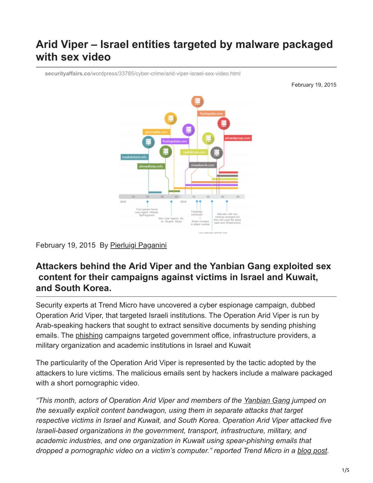# **Arid Viper – Israel entities targeted by malware packaged with sex video**

**securityaffairs.co**[/wordpress/33785/cyber-crime/arid-viper-israel-sex-video.html](http://securityaffairs.co/wordpress/33785/cyber-crime/arid-viper-israel-sex-video.html)

February 19, 2015



### February 19, 2015 By [Pierluigi Paganini](https://securityaffairs.co/wordpress/author/paganinip)

## **Attackers behind the Arid Viper and the Yanbian Gang exploited sex content for their campaigns against victims in Israel and Kuwait, and South Korea.**

Security experts at Trend Micro have uncovered a cyber espionage campaign, dubbed Operation Arid Viper, that targeted Israeli institutions. The Operation Arid Viper is run by Arab-speaking hackers that sought to extract sensitive documents by sending phishing emails. The [phishing](http://securityaffairs.co/wordpress/33313/cyber-crime/phishing-campaign-icloud-users.html) campaigns targeted government office, infrastructure providers, a military organization and academic institutions in Israel and Kuwait

The particularity of the Operation Arid Viper is represented by the tactic adopted by the attackers to lure victims. The malicious emails sent by hackers include a malware packaged with a short pornographic video.

*"This month, actors of Operation Arid Viper and members of the [Yanbian Gang](http://securityaffairs.co/wordpress/33709/cyber-crime/yanbian-gang-mobile-banking.html) jumped on the sexually explicit content bandwagon, using them in separate attacks that target respective victims in Israel and Kuwait, and South Korea. Operation Arid Viper attacked five Israeli-based organizations in the government, transport, infrastructure, military, and academic industries, and one organization in Kuwait using spear-phishing emails that dropped a pornographic video on a victim's computer." reported Trend Micro in a [blog post](http://www.trendmicro.com/vinfo/us/security/news/cyber-attacks/sexually-explicit-material-used-as-lures-in-cyber-attacks?linkId=12425812).*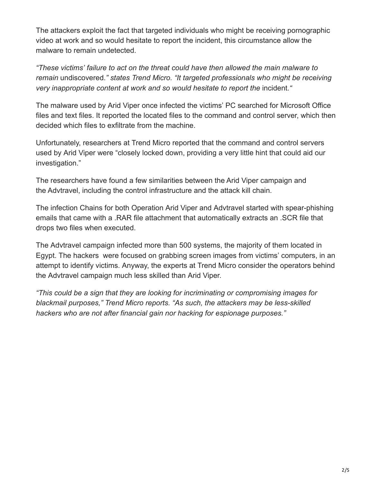The attackers exploit the fact that targeted individuals who might be receiving pornographic video at work and so would hesitate to report the incident, this circumstance allow the malware to remain undetected.

*"These victims' failure to act on the threat could have then allowed the main malware to remain* undiscovered.*" states Trend Micro. "It targeted professionals who might be receiving very inappropriate content at work and so would hesitate to report the incident.<sup>"</sup>* 

The malware used by Arid Viper once infected the victims' PC searched for Microsoft Office files and text files. It reported the located files to the command and control server, which then decided which files to exfiltrate from the machine.

Unfortunately, researchers at Trend Micro reported that the command and control servers used by Arid Viper were "closely locked down, providing a very little hint that could aid our investigation."

The researchers have found a few similarities between the Arid Viper campaign and the Advtravel, including the control infrastructure and the attack kill chain.

The infection Chains for both Operation Arid Viper and Advtravel started with spear-phishing emails that came with a .RAR file attachment that automatically extracts an .SCR file that drops two files when executed.

The Advtravel campaign infected more than 500 systems, the majority of them located in Egypt. The hackers were focused on grabbing screen images from victims' computers, in an attempt to identify victims. Anyway, the experts at Trend Micro consider the operators behind the Advtravel campaign much less skilled than Arid Viper.

*"This could be a sign that they are looking for incriminating or compromising images for blackmail purposes," Trend Micro reports. "As such, the attackers may be less-skilled hackers who are not after financial gain nor hacking for espionage purposes."*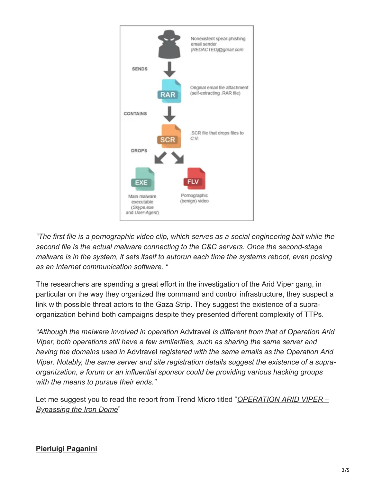

*"The first file is a pornographic video clip, which serves as a social engineering bait while the second file is the actual malware connecting to the C&C servers. Once the second-stage malware is in the system, it sets itself to autorun each time the systems reboot, even posing as an Internet communication software. "*

The researchers are spending a great effort in the investigation of the Arid Viper gang, in particular on the way they organized the command and control infrastructure, they suspect a link with possible threat actors to the Gaza Strip. They suggest the existence of a supraorganization behind both campaigns despite they presented different complexity of TTPs.

*"Although the malware involved in operation* Advtravel *is different from that of Operation Arid Viper, both operations still have a few similarities, such as sharing the same server and having the domains used in* Advtravel *registered with the same emails as the Operation Arid Viper. Notably, the same server and site registration details suggest the existence of a supraorganization, a forum or an influential sponsor could be providing various hacking groups with the means to pursue their ends."*

[Let me suggest you to read the report from Trend Micro titled "](http://www.trendmicro.com/cloud-content/us/pdfs/security-intelligence/white-papers/wp-operation-arid-viper.pdf)*OPERATION ARID VIPER – Bypassing the Iron Dome*"

## **[Pierluigi Paganini](http://www.linkedin.com/pub/pierluigi-paganini/b/742/559)**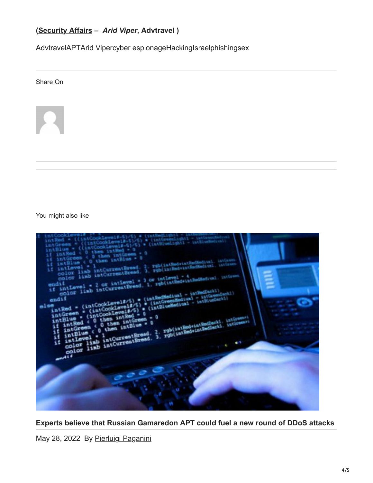## **([Security Affairs](http://securityaffairs.co/wordpress/) –** *Arid Viper***, Advtravel )**

[Advtravel](https://securityaffairs.co/wordpress/tag/advtravel)[APT](https://securityaffairs.co/wordpress/tag/apt)[Arid Viper](https://securityaffairs.co/wordpress/tag/arid-viper)[cyber espionage](https://securityaffairs.co/wordpress/tag/cyber-espionage)[Hacking](https://securityaffairs.co/wordpress/tag/hacking)[Israel](https://securityaffairs.co/wordpress/tag/israel)[phishing](https://securityaffairs.co/wordpress/tag/phishing)[sex](https://securityaffairs.co/wordpress/tag/sex)

Share On



You might also like



#### **[Experts believe that Russian Gamaredon APT could fuel a new round of DDoS attacks](https://securityaffairs.co/wordpress/131762/apt/gamaredon-apt-ddos-attacks.html)**

May 28, 2022 By [Pierluigi Paganini](https://securityaffairs.co/wordpress/author/paganinip)